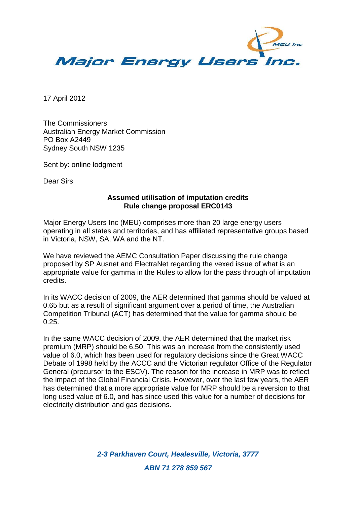

17 April 2012

The Commissioners Australian Energy Market Commission PO Box A2449 Sydney South NSW 1235

Sent by: online lodgment

Dear Sirs

## **Assumed utilisation of imputation credits Rule change proposal ERC0143**

Major Energy Users Inc (MEU) comprises more than 20 large energy users operating in all states and territories, and has affiliated representative groups based in Victoria, NSW, SA, WA and the NT.

We have reviewed the AEMC Consultation Paper discussing the rule change proposed by SP Ausnet and ElectraNet regarding the vexed issue of what is an appropriate value for gamma in the Rules to allow for the pass through of imputation credits.

In its WACC decision of 2009, the AER determined that gamma should be valued at 0.65 but as a result of significant argument over a period of time, the Australian Competition Tribunal (ACT) has determined that the value for gamma should be 0.25.

In the same WACC decision of 2009, the AER determined that the market risk premium (MRP) should be 6.50. This was an increase from the consistently used value of 6.0, which has been used for regulatory decisions since the Great WACC Debate of 1998 held by the ACCC and the Victorian regulator Office of the Regulator General (precursor to the ESCV). The reason for the increase in MRP was to reflect the impact of the Global Financial Crisis. However, over the last few years, the AER has determined that a more appropriate value for MRP should be a reversion to that long used value of 6.0, and has since used this value for a number of decisions for electricity distribution and gas decisions.

> *2-3 Parkhaven Court, Healesville, Victoria, 3777 ABN 71 278 859 567*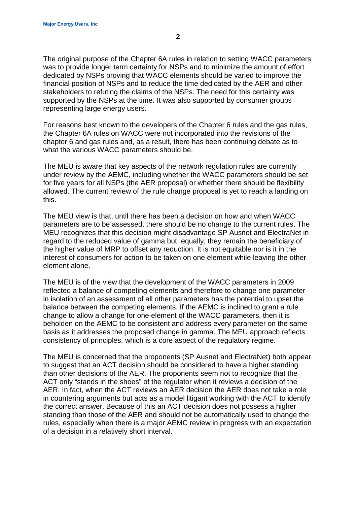The original purpose of the Chapter 6A rules in relation to setting WACC parameters was to provide longer term certainty for NSPs and to minimize the amount of effort dedicated by NSPs proving that WACC elements should be varied to improve the financial position of NSPs and to reduce the time dedicated by the AER and other stakeholders to refuting the claims of the NSPs. The need for this certainty was supported by the NSPs at the time. It was also supported by consumer groups representing large energy users.

For reasons best known to the developers of the Chapter 6 rules and the gas rules, the Chapter 6A rules on WACC were not incorporated into the revisions of the chapter 6 and gas rules and, as a result, there has been continuing debate as to what the various WACC parameters should be.

The MEU is aware that key aspects of the network regulation rules are currently under review by the AEMC, including whether the WACC parameters should be set for five years for all NSPs (the AER proposal) or whether there should be flexibility allowed. The current review of the rule change proposal is yet to reach a landing on this.

The MEU view is that, until there has been a decision on how and when WACC parameters are to be assessed, there should be no change to the current rules. The MEU recognizes that this decision might disadvantage SP Ausnet and ElectraNet in regard to the reduced value of gamma but, equally, they remain the beneficiary of the higher value of MRP to offset any reduction. It is not equitable nor is it in the interest of consumers for action to be taken on one element while leaving the other element alone.

The MEU is of the view that the development of the WACC parameters in 2009 reflected a balance of competing elements and therefore to change one parameter in isolation of an assessment of all other parameters has the potential to upset the balance between the competing elements. If the AEMC is inclined to grant a rule change to allow a change for one element of the WACC parameters, then it is beholden on the AEMC to be consistent and address every parameter on the same basis as it addresses the proposed change in gamma. The MEU approach reflects consistency of principles, which is a core aspect of the regulatory regime.

The MEU is concerned that the proponents (SP Ausnet and ElectraNet) both appear to suggest that an ACT decision should be considered to have a higher standing than other decisions of the AER. The proponents seem not to recognize that the ACT only "stands in the shoes" of the regulator when it reviews a decision of the AER. In fact, when the ACT reviews an AER decision the AER does not take a role in countering arguments but acts as a model litigant working with the ACT to identify the correct answer. Because of this an ACT decision does not possess a higher standing than those of the AER and should not be automatically used to change the rules, especially when there is a major AEMC review in progress with an expectation of a decision in a relatively short interval.